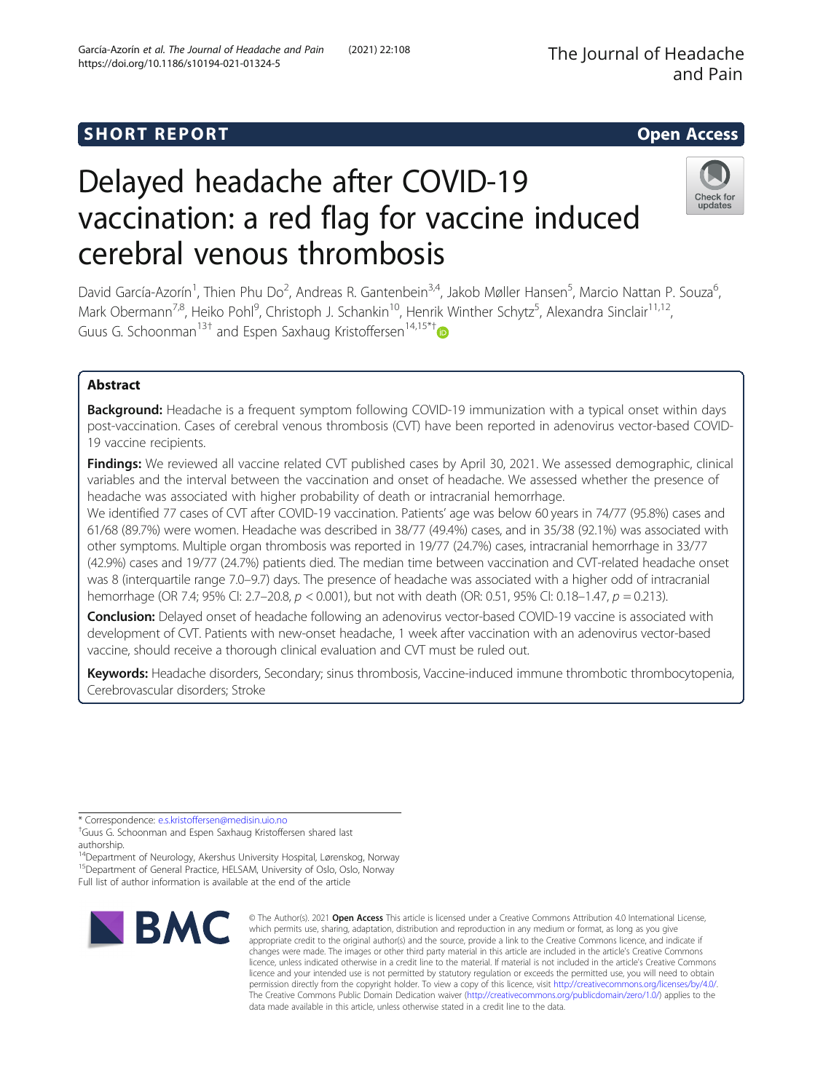# SHORT REPORT NAMEL AND THE SHORT CONSIDERED AND THE SHORT ACCESS OPEN ACCESS

# Delayed headache after COVID-19 vaccination: a red flag for vaccine induced cerebral venous thrombosis

David García-Azorín<sup>1</sup>, Thien Phu Do<sup>2</sup>, Andreas R. Gantenbein<sup>3,4</sup>, Jakob Møller Hansen<sup>5</sup>, Marcio Nattan P. Souza<sup>6</sup> , Mark Obermann<sup>7,8</sup>, Heiko Pohl<sup>9</sup>, Christoph J. Schankin<sup>10</sup>, Henrik Winther Schytz<sup>5</sup>, Alexandra Sinclair<sup>11,12</sup>, Guus G. Schoonman<sup>13[†](http://orcid.org/0000-0002-8999-5424)</sup> and Espen Saxhaug Kristoffersen<sup>14,15\*†</sup>

# Abstract

Background: Headache is a frequent symptom following COVID-19 immunization with a typical onset within days post-vaccination. Cases of cerebral venous thrombosis (CVT) have been reported in adenovirus vector-based COVID-19 vaccine recipients.

Findings: We reviewed all vaccine related CVT published cases by April 30, 2021. We assessed demographic, clinical variables and the interval between the vaccination and onset of headache. We assessed whether the presence of headache was associated with higher probability of death or intracranial hemorrhage.

We identified 77 cases of CVT after COVID-19 vaccination. Patients' age was below 60 years in 74/77 (95.8%) cases and 61/68 (89.7%) were women. Headache was described in 38/77 (49.4%) cases, and in 35/38 (92.1%) was associated with other symptoms. Multiple organ thrombosis was reported in 19/77 (24.7%) cases, intracranial hemorrhage in 33/77 (42.9%) cases and 19/77 (24.7%) patients died. The median time between vaccination and CVT-related headache onset was 8 (interquartile range 7.0–9.7) days. The presence of headache was associated with a higher odd of intracranial hemorrhage (OR 7.4; 95% CI: 2.7–20.8, p < 0.001), but not with death (OR: 0.51, 95% CI: 0.18–1.47, p = 0.213).

Conclusion: Delayed onset of headache following an adenovirus vector-based COVID-19 vaccine is associated with development of CVT. Patients with new-onset headache, 1 week after vaccination with an adenovirus vector-based vaccine, should receive a thorough clinical evaluation and CVT must be ruled out.

Keywords: Headache disorders, Secondary; sinus thrombosis, Vaccine-induced immune thrombotic thrombocytopenia, Cerebrovascular disorders; Stroke

\* Correspondence: [e.s.kristoffersen@medisin.uio.no](mailto:e.s.kristoffersen@medisin.uio.no) †

**IBMC** 

appropriate credit to the original author(s) and the source, provide a link to the Creative Commons licence, and indicate if changes were made. The images or other third party material in this article are included in the article's Creative Commons licence, unless indicated otherwise in a credit line to the material. If material is not included in the article's Creative Commons licence and your intended use is not permitted by statutory regulation or exceeds the permitted use, you will need to obtain permission directly from the copyright holder. To view a copy of this licence, visit [http://creativecommons.org/licenses/by/4.0/.](http://creativecommons.org/licenses/by/4.0/) The Creative Commons Public Domain Dedication waiver [\(http://creativecommons.org/publicdomain/zero/1.0/](http://creativecommons.org/publicdomain/zero/1.0/)) applies to the data made available in this article, unless otherwise stated in a credit line to the data.

© The Author(s), 2021 **Open Access** This article is licensed under a Creative Commons Attribution 4.0 International License, which permits use, sharing, adaptation, distribution and reproduction in any medium or format, as long as you give

Check for updates



<sup>&</sup>lt;sup>+</sup>Guus G. Schoonman and Espen Saxhaug Kristoffersen shared last authorship.

<sup>14</sup>Department of Neurology, Akershus University Hospital, Lørenskog, Norway 15Department of General Practice, HELSAM, University of Oslo, Oslo, Norway Full list of author information is available at the end of the article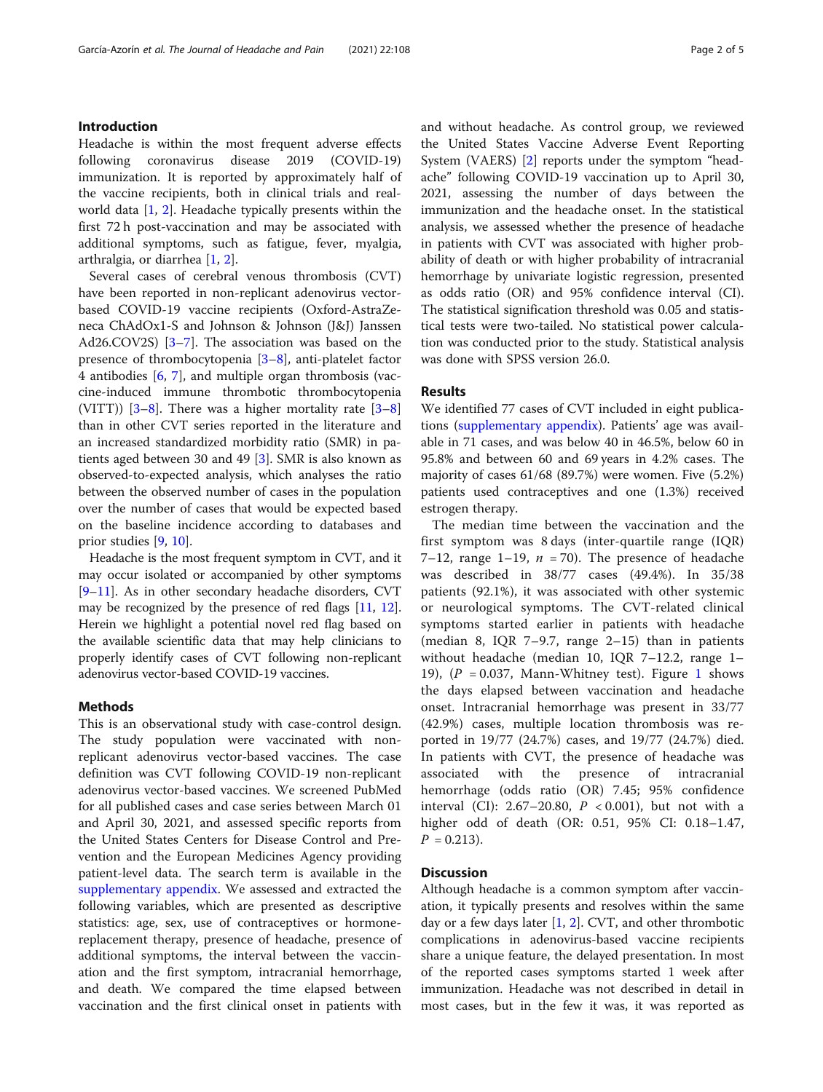# Introduction

Headache is within the most frequent adverse effects following coronavirus disease 2019 (COVID-19) immunization. It is reported by approximately half of the vaccine recipients, both in clinical trials and realworld data  $[1, 2]$  $[1, 2]$  $[1, 2]$  $[1, 2]$ . Headache typically presents within the first 72 h post-vaccination and may be associated with additional symptoms, such as fatigue, fever, myalgia, arthralgia, or diarrhea [\[1](#page-3-0), [2](#page-3-0)].

Several cases of cerebral venous thrombosis (CVT) have been reported in non-replicant adenovirus vectorbased COVID-19 vaccine recipients (Oxford-AstraZeneca ChAdOx1-S and Johnson & Johnson (J&J) Janssen Ad26.COV2S) [\[3](#page-3-0)–[7](#page-3-0)]. The association was based on the presence of thrombocytopenia [\[3](#page-3-0)–[8](#page-3-0)], anti-platelet factor 4 antibodies [[6,](#page-3-0) [7](#page-3-0)], and multiple organ thrombosis (vaccine-induced immune thrombotic thrombocytopenia (VITT))  $[3-8]$  $[3-8]$  $[3-8]$  $[3-8]$  $[3-8]$ . There was a higher mortality rate  $[3-8]$ than in other CVT series reported in the literature and an increased standardized morbidity ratio (SMR) in patients aged between 30 and 49 [\[3](#page-3-0)]. SMR is also known as observed-to-expected analysis, which analyses the ratio between the observed number of cases in the population over the number of cases that would be expected based on the baseline incidence according to databases and prior studies [\[9](#page-3-0), [10](#page-3-0)].

Headache is the most frequent symptom in CVT, and it may occur isolated or accompanied by other symptoms [[9](#page-3-0)–[11](#page-3-0)]. As in other secondary headache disorders, CVT may be recognized by the presence of red flags [\[11,](#page-3-0) [12](#page-3-0)]. Herein we highlight a potential novel red flag based on the available scientific data that may help clinicians to properly identify cases of CVT following non-replicant adenovirus vector-based COVID-19 vaccines.

# Methods

This is an observational study with case-control design. The study population were vaccinated with nonreplicant adenovirus vector-based vaccines. The case definition was CVT following COVID-19 non-replicant adenovirus vector-based vaccines. We screened PubMed for all published cases and case series between March 01 and April 30, 2021, and assessed specific reports from the United States Centers for Disease Control and Prevention and the European Medicines Agency providing patient-level data. The search term is available in the [supplementary appendix.](#page-2-0) We assessed and extracted the following variables, which are presented as descriptive statistics: age, sex, use of contraceptives or hormonereplacement therapy, presence of headache, presence of additional symptoms, the interval between the vaccination and the first symptom, intracranial hemorrhage, and death. We compared the time elapsed between vaccination and the first clinical onset in patients with

and without headache. As control group, we reviewed the United States Vaccine Adverse Event Reporting System (VAERS) [\[2\]](#page-3-0) reports under the symptom "headache" following COVID-19 vaccination up to April 30, 2021, assessing the number of days between the immunization and the headache onset. In the statistical analysis, we assessed whether the presence of headache in patients with CVT was associated with higher probability of death or with higher probability of intracranial hemorrhage by univariate logistic regression, presented as odds ratio (OR) and 95% confidence interval (CI). The statistical signification threshold was 0.05 and statistical tests were two-tailed. No statistical power calculation was conducted prior to the study. Statistical analysis was done with SPSS version 26.0.

# Results

We identified 77 cases of CVT included in eight publications ([supplementary appendix\)](#page-2-0). Patients' age was available in 71 cases, and was below 40 in 46.5%, below 60 in 95.8% and between 60 and 69 years in 4.2% cases. The majority of cases 61/68 (89.7%) were women. Five (5.2%) patients used contraceptives and one (1.3%) received estrogen therapy.

The median time between the vaccination and the first symptom was 8 days (inter-quartile range (IQR) 7–12, range 1–19,  $n = 70$ ). The presence of headache was described in 38/77 cases (49.4%). In 35/38 patients (92.1%), it was associated with other systemic or neurological symptoms. The CVT-related clinical symptoms started earlier in patients with headache (median 8, IQR 7–9.7, range 2–15) than in patients without headache (median 10, IQR 7–12.2, range 1– [1](#page-2-0)9),  $(P = 0.037,$  Mann-Whitney test). Figure 1 shows the days elapsed between vaccination and headache onset. Intracranial hemorrhage was present in 33/77 (42.9%) cases, multiple location thrombosis was reported in 19/77 (24.7%) cases, and 19/77 (24.7%) died. In patients with CVT, the presence of headache was associated with the presence of intracranial hemorrhage (odds ratio (OR) 7.45; 95% confidence interval (CI): 2.67-20.80,  $P < 0.001$ ), but not with a higher odd of death (OR: 0.51, 95% CI: 0.18–1.47,  $P = 0.213$ .

# **Discussion**

Although headache is a common symptom after vaccination, it typically presents and resolves within the same day or a few days later [\[1](#page-3-0), [2](#page-3-0)]. CVT, and other thrombotic complications in adenovirus-based vaccine recipients share a unique feature, the delayed presentation. In most of the reported cases symptoms started 1 week after immunization. Headache was not described in detail in most cases, but in the few it was, it was reported as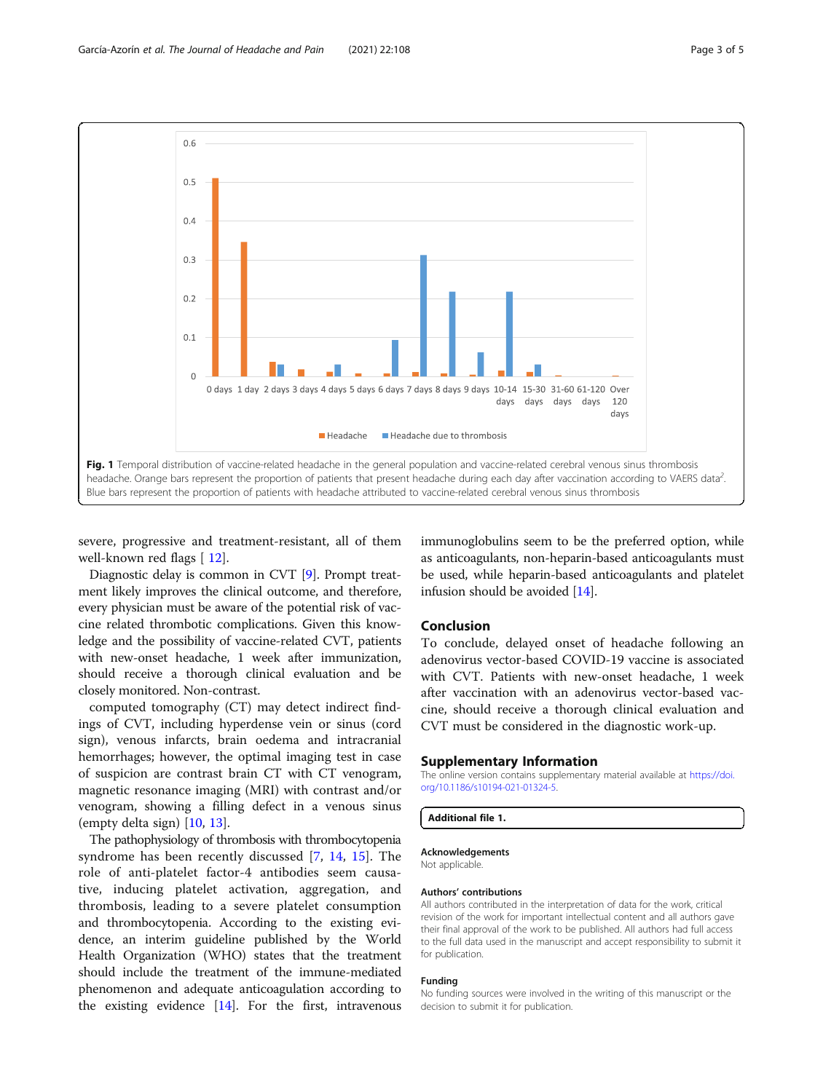<span id="page-2-0"></span>

severe, progressive and treatment-resistant, all of them well-known red flags [[12\]](#page-3-0).

Diagnostic delay is common in CVT [\[9](#page-3-0)]. Prompt treatment likely improves the clinical outcome, and therefore, every physician must be aware of the potential risk of vaccine related thrombotic complications. Given this knowledge and the possibility of vaccine-related CVT, patients with new-onset headache, 1 week after immunization, should receive a thorough clinical evaluation and be closely monitored. Non-contrast.

computed tomography (CT) may detect indirect findings of CVT, including hyperdense vein or sinus (cord sign), venous infarcts, brain oedema and intracranial hemorrhages; however, the optimal imaging test in case of suspicion are contrast brain CT with CT venogram, magnetic resonance imaging (MRI) with contrast and/or venogram, showing a filling defect in a venous sinus (empty delta sign) [[10](#page-3-0), [13](#page-3-0)].

The pathophysiology of thrombosis with thrombocytopenia syndrome has been recently discussed [[7,](#page-3-0) [14](#page-3-0), [15\]](#page-4-0). The role of anti-platelet factor-4 antibodies seem causative, inducing platelet activation, aggregation, and thrombosis, leading to a severe platelet consumption and thrombocytopenia. According to the existing evidence, an interim guideline published by the World Health Organization (WHO) states that the treatment should include the treatment of the immune-mediated phenomenon and adequate anticoagulation according to the existing evidence [[14\]](#page-3-0). For the first, intravenous

immunoglobulins seem to be the preferred option, while as anticoagulants, non-heparin-based anticoagulants must be used, while heparin-based anticoagulants and platelet infusion should be avoided [[14](#page-3-0)].

## Conclusion

To conclude, delayed onset of headache following an adenovirus vector-based COVID-19 vaccine is associated with CVT. Patients with new-onset headache, 1 week after vaccination with an adenovirus vector-based vaccine, should receive a thorough clinical evaluation and CVT must be considered in the diagnostic work-up.

### Supplementary Information

The online version contains supplementary material available at [https://doi.](https://doi.org/10.1186/s10194-021-01324-5) [org/10.1186/s10194-021-01324-5.](https://doi.org/10.1186/s10194-021-01324-5)

Additional file 1.

#### Acknowledgements

Not applicable.

### Authors' contributions

All authors contributed in the interpretation of data for the work, critical revision of the work for important intellectual content and all authors gave their final approval of the work to be published. All authors had full access to the full data used in the manuscript and accept responsibility to submit it for publication.

#### Funding

No funding sources were involved in the writing of this manuscript or the decision to submit it for publication.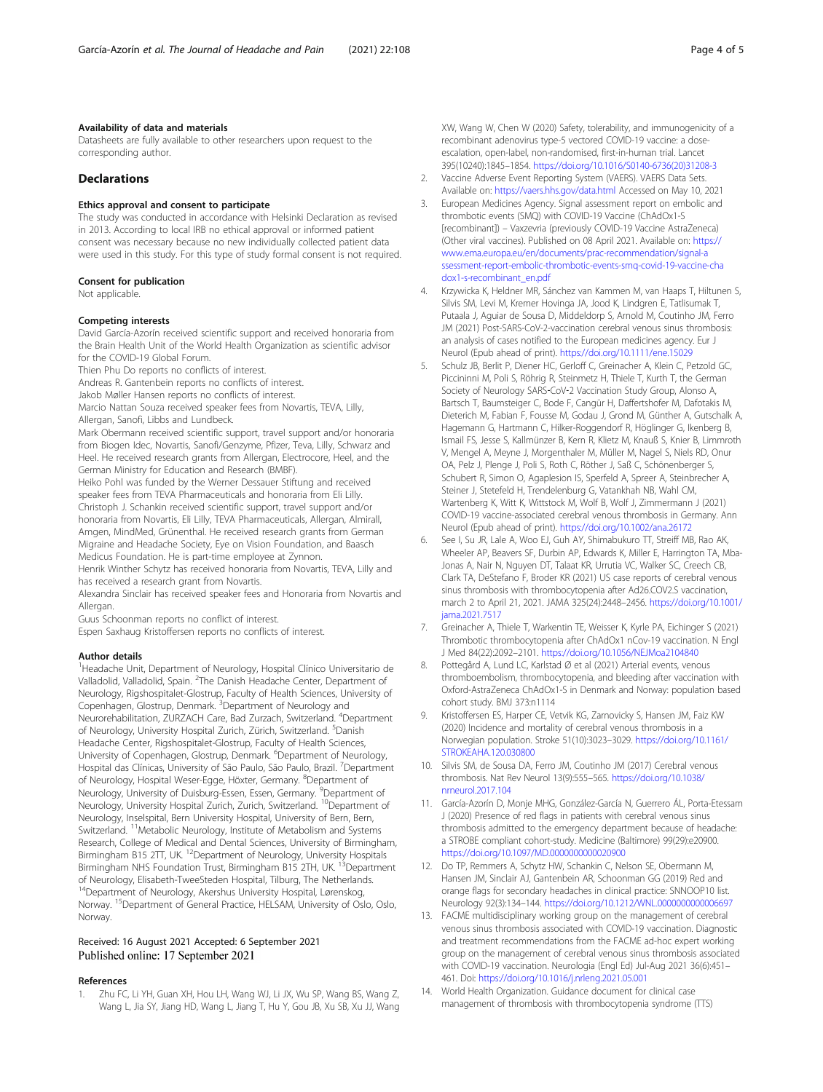# <span id="page-3-0"></span>Availability of data and materials

Datasheets are fully available to other researchers upon request to the corresponding author.

# Declarations

# Ethics approval and consent to participate

The study was conducted in accordance with Helsinki Declaration as revised in 2013. According to local IRB no ethical approval or informed patient consent was necessary because no new individually collected patient data were used in this study. For this type of study formal consent is not required.

#### Consent for publication

Not applicable.

#### Competing interests

David García-Azorín received scientific support and received honoraria from the Brain Health Unit of the World Health Organization as scientific advisor for the COVID-19 Global Forum.

Thien Phu Do reports no conflicts of interest.

Andreas R. Gantenbein reports no conflicts of interest.

Jakob Møller Hansen reports no conflicts of interest.

Marcio Nattan Souza received speaker fees from Novartis, TEVA, Lilly, Allergan, Sanofi, Libbs and Lundbeck.

Mark Obermann received scientific support, travel support and/or honoraria from Biogen Idec, Novartis, Sanofi/Genzyme, Pfizer, Teva, Lilly, Schwarz and Heel. He received research grants from Allergan, Electrocore, Heel, and the German Ministry for Education and Research (BMBF).

Heiko Pohl was funded by the Werner Dessauer Stiftung and received speaker fees from TEVA Pharmaceuticals and honoraria from Eli Lilly. Christoph J. Schankin received scientific support, travel support and/or honoraria from Novartis, Eli Lilly, TEVA Pharmaceuticals, Allergan, Almirall, Amgen, MindMed, Grünenthal. He received research grants from German Migraine and Headache Society, Eye on Vision Foundation, and Baasch Medicus Foundation. He is part-time employee at Zynnon.

Henrik Winther Schytz has received honoraria from Novartis, TEVA, Lilly and has received a research grant from Novartis.

Alexandra Sinclair has received speaker fees and Honoraria from Novartis and Allergan.

Guus Schoonman reports no conflict of interest.

Espen Saxhaug Kristoffersen reports no conflicts of interest.

#### Author details

<sup>1</sup> Headache Unit, Department of Neurology, Hospital Clínico Universitario de Valladolid, Valladolid, Spain. <sup>2</sup>The Danish Headache Center, Department of Neurology, Rigshospitalet-Glostrup, Faculty of Health Sciences, University of Copenhagen, Glostrup, Denmark. <sup>3</sup>Department of Neurology and Neurorehabilitation, ZURZACH Care, Bad Zurzach, Switzerland. <sup>4</sup>Department of Neurology, University Hospital Zurich, Zürich, Switzerland. <sup>5</sup>Danish Headache Center, Rigshospitalet-Glostrup, Faculty of Health Sciences, University of Copenhagen, Glostrup, Denmark. <sup>6</sup>Department of Neurology, Hospital das Clínicas, University of São Paulo, São Paulo, Brazil. <sup>7</sup>Department of Neurology, Hospital Weser-Egge, Höxter, Germany. <sup>8</sup>Department of Neurology, University of Duisburg-Essen, Essen, Germany. <sup>9</sup>Department of Neurology, University Hospital Zurich, Zurich, Switzerland. <sup>10</sup>Department of Neurology, Inselspital, Bern University Hospital, University of Bern, Bern, Switzerland. <sup>11</sup>Metabolic Neurology, Institute of Metabolism and Systems Research, College of Medical and Dental Sciences, University of Birmingham, Birmingham B15 2TT, UK. <sup>12</sup>Department of Neurology, University Hospitals Birmingham NHS Foundation Trust, Birmingham B15 2TH, UK. 13Department of Neurology, Elisabeth-TweeSteden Hospital, Tilburg, The Netherlands. <sup>14</sup>Department of Neurology, Akershus University Hospital, Lørenskog, Norway. <sup>15</sup>Department of General Practice, HELSAM, University of Oslo, Oslo, Norway.

# Received: 16 August 2021 Accepted: 6 September 2021 Published online: 17 September 2021

#### References

1. Zhu FC, Li YH, Guan XH, Hou LH, Wang WJ, Li JX, Wu SP, Wang BS, Wang Z, Wang L, Jia SY, Jiang HD, Wang L, Jiang T, Hu Y, Gou JB, Xu SB, Xu JJ, Wang XW, Wang W, Chen W (2020) Safety, tolerability, and immunogenicity of a recombinant adenovirus type-5 vectored COVID-19 vaccine: a doseescalation, open-label, non-randomised, first-in-human trial. Lancet 395(10240):1845–1854. [https://doi.org/10.1016/S0140-6736\(20\)31208-3](https://doi.org/10.1016/S0140-6736(20)31208-3)

- 2. Vaccine Adverse Event Reporting System (VAERS). VAERS Data Sets. Available on: <https://vaers.hhs.gov/data.html> Accessed on May 10, 2021
- 3. European Medicines Agency. Signal assessment report on embolic and thrombotic events (SMQ) with COVID-19 Vaccine (ChAdOx1-S [recombinant]) – Vaxzevria (previously COVID-19 Vaccine AstraZeneca) (Other viral vaccines). Published on 08 April 2021. Available on: [https://](https://www.ema.europa.eu/en/documents/prac-recommendation/signal-assessment-report-embolic-thrombotic-events-smq-covid-19-vaccine-chadox1-s-recombinant_en.pdf) [www.ema.europa.eu/en/documents/prac-recommendation/signal-a](https://www.ema.europa.eu/en/documents/prac-recommendation/signal-assessment-report-embolic-thrombotic-events-smq-covid-19-vaccine-chadox1-s-recombinant_en.pdf) [ssessment-report-embolic-thrombotic-events-smq-covid-19-vaccine-cha](https://www.ema.europa.eu/en/documents/prac-recommendation/signal-assessment-report-embolic-thrombotic-events-smq-covid-19-vaccine-chadox1-s-recombinant_en.pdf) [dox1-s-recombinant\\_en.pdf](https://www.ema.europa.eu/en/documents/prac-recommendation/signal-assessment-report-embolic-thrombotic-events-smq-covid-19-vaccine-chadox1-s-recombinant_en.pdf)
- 4. Krzywicka K, Heldner MR, Sánchez van Kammen M, van Haaps T, Hiltunen S, Silvis SM, Levi M, Kremer Hovinga JA, Jood K, Lindgren E, Tatlisumak T, Putaala J, Aguiar de Sousa D, Middeldorp S, Arnold M, Coutinho JM, Ferro JM (2021) Post-SARS-CoV-2-vaccination cerebral venous sinus thrombosis: an analysis of cases notified to the European medicines agency. Eur J Neurol (Epub ahead of print). <https://doi.org/10.1111/ene.15029>
- 5. Schulz JB, Berlit P, Diener HC, Gerloff C, Greinacher A, Klein C, Petzold GC, Piccininni M, Poli S, Röhrig R, Steinmetz H, Thiele T, Kurth T, the German Society of Neurology SARS‐CoV‐2 Vaccination Study Group, Alonso A, Bartsch T, Baumsteiger C, Bode F, Cangür H, Daffertshofer M, Dafotakis M, Dieterich M, Fabian F, Fousse M, Godau J, Grond M, Günther A, Gutschalk A, Hagemann G, Hartmann C, Hilker-Roggendorf R, Höglinger G, Ikenberg B, Ismail FS, Jesse S, Kallmünzer B, Kern R, Klietz M, Knauß S, Knier B, Limmroth V, Mengel A, Meyne J, Morgenthaler M, Müller M, Nagel S, Niels RD, Onur OA, Pelz J, Plenge J, Poli S, Roth C, Röther J, Saß C, Schönenberger S, Schubert R, Simon O, Agaplesion IS, Sperfeld A, Spreer A, Steinbrecher A, Steiner J, Stetefeld H, Trendelenburg G, Vatankhah NB, Wahl CM, Wartenberg K, Witt K, Wittstock M, Wolf B, Wolf J, Zimmermann J (2021) COVID-19 vaccine-associated cerebral venous thrombosis in Germany. Ann Neurol (Epub ahead of print). <https://doi.org/10.1002/ana.26172>
- 6. See I, Su JR, Lale A, Woo EJ, Guh AY, Shimabukuro TT, Streiff MB, Rao AK, Wheeler AP, Beavers SF, Durbin AP, Edwards K, Miller E, Harrington TA, Mba-Jonas A, Nair N, Nguyen DT, Talaat KR, Urrutia VC, Walker SC, Creech CB, Clark TA, DeStefano F, Broder KR (2021) US case reports of cerebral venous sinus thrombosis with thrombocytopenia after Ad26.COV2.S vaccination, march 2 to April 21, 2021. JAMA 325(24):2448–2456. [https://doi.org/10.1001/](https://doi.org/10.1001/jama.2021.7517) [jama.2021.7517](https://doi.org/10.1001/jama.2021.7517)
- 7. Greinacher A, Thiele T, Warkentin TE, Weisser K, Kyrle PA, Eichinger S (2021) Thrombotic thrombocytopenia after ChAdOx1 nCov-19 vaccination. N Engl J Med 84(22):2092–2101. <https://doi.org/10.1056/NEJMoa2104840>
- 8. Pottegård A, Lund LC, Karlstad Ø et al (2021) Arterial events, venous thromboembolism, thrombocytopenia, and bleeding after vaccination with Oxford-AstraZeneca ChAdOx1-S in Denmark and Norway: population based cohort study. BMJ 373:n1114
- 9. Kristoffersen ES, Harper CE, Vetvik KG, Zarnovicky S, Hansen JM, Faiz KW (2020) Incidence and mortality of cerebral venous thrombosis in a Norwegian population. Stroke 51(10):3023–3029. [https://doi.org/10.1161/](https://doi.org/10.1161/STROKEAHA.120.030800) [STROKEAHA.120.030800](https://doi.org/10.1161/STROKEAHA.120.030800)
- 10. Silvis SM, de Sousa DA, Ferro JM, Coutinho JM (2017) Cerebral venous thrombosis. Nat Rev Neurol 13(9):555–565. [https://doi.org/10.1038/](https://doi.org/10.1038/nrneurol.2017.104) [nrneurol.2017.104](https://doi.org/10.1038/nrneurol.2017.104)
- 11. García-Azorín D, Monje MHG, González-García N, Guerrero ÁL, Porta-Etessam J (2020) Presence of red flags in patients with cerebral venous sinus thrombosis admitted to the emergency department because of headache: a STROBE compliant cohort-study. Medicine (Baltimore) 99(29):e20900. <https://doi.org/10.1097/MD.0000000000020900>
- 12. Do TP, Remmers A, Schytz HW, Schankin C, Nelson SE, Obermann M, Hansen JM, Sinclair AJ, Gantenbein AR, Schoonman GG (2019) Red and orange flags for secondary headaches in clinical practice: SNNOOP10 list. Neurology 92(3):134–144. <https://doi.org/10.1212/WNL.0000000000006697>
- 13. FACME multidisciplinary working group on the management of cerebral venous sinus thrombosis associated with COVID-19 vaccination. Diagnostic and treatment recommendations from the FACME ad-hoc expert working group on the management of cerebral venous sinus thrombosis associated with COVID-19 vaccination. Neurologia (Engl Ed) Jul-Aug 2021 36(6):451– 461. Doi: <https://doi.org/10.1016/j.nrleng.2021.05.001>
- 14. World Health Organization. Guidance document for clinical case management of thrombosis with thrombocytopenia syndrome (TTS)